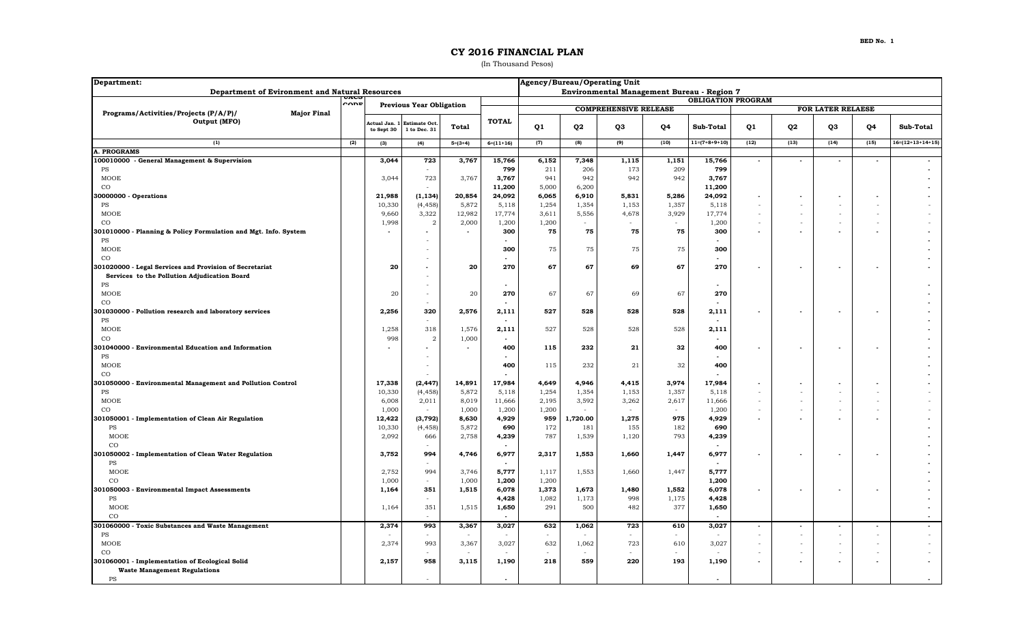## **CY 2016 FINANCIAL PLAN**

(In Thousand Pesos)

| Department:                                                        |     | Agency/Bureau/Operating Unit               |                                     |                |                 |                              |                          |        |        |                 |                          |                          |                          |      |                            |  |  |
|--------------------------------------------------------------------|-----|--------------------------------------------|-------------------------------------|----------------|-----------------|------------------------------|--------------------------|--------|--------|-----------------|--------------------------|--------------------------|--------------------------|------|----------------------------|--|--|
| Department of Evironment and Natural Resources                     |     | Environmental Management Bureau - Region 7 |                                     |                |                 |                              |                          |        |        |                 |                          |                          |                          |      |                            |  |  |
| UACS<br>$\sim$<br><b>Previous Year Obligation</b>                  |     |                                            |                                     |                |                 | <b>OBLIGATION PROGRAM</b>    |                          |        |        |                 |                          |                          |                          |      |                            |  |  |
| Programs/Activities/Projects (P/A/P)/<br><b>Major Final</b>        |     |                                            |                                     |                |                 | <b>COMPREHENSIVE RELEASE</b> |                          |        |        |                 |                          | FOR LATER RELAESE        |                          |      |                            |  |  |
| Output (MFO)                                                       |     | Actual Jan.<br>to Sept 30                  | <b>Estimate Oct</b><br>1 to Dec. 31 | <b>Total</b>   | <b>TOTAL</b>    | Q <sub>1</sub>               | Q <sub>2</sub>           | Q3     | Q4     | Sub-Total       | Q1                       | Q <sub>2</sub>           | Q3                       | Q4   | Sub-Total                  |  |  |
| (1)                                                                | (2) | (3)                                        | (4)                                 | $5=(3+4)$      | $6=(11+16)$     | (7)                          | (8)                      | (9)    | (10)   | $11=(7+8+9+10)$ | (12)                     | (13)                     | (14)                     | (15) | $16 = (12 + 13 + 14 + 15)$ |  |  |
| <b>A. PROGRAMS</b>                                                 |     |                                            |                                     |                |                 |                              |                          |        |        |                 |                          |                          |                          |      |                            |  |  |
| 100010000 - General Management & Supervision                       |     | 3,044                                      | 723                                 | 3,767          | 15,766          | 6,152                        | 7,348                    | 1,115  | 1,151  | 15,766          | $\blacksquare$           | $\blacksquare$           | $\overline{a}$           |      |                            |  |  |
| PS                                                                 |     |                                            | $\sim$                              |                | 799             | 211                          | 206                      | 173    | 209    | 799             |                          |                          |                          |      |                            |  |  |
| MOOE                                                               |     | 3,044                                      | 723                                 | 3,767          | 3,767           | 941                          | 942                      | 942    | 942    | 3,767           |                          |                          |                          |      |                            |  |  |
| $_{\rm CO}$                                                        |     |                                            |                                     |                | 11,200          | 5,000                        | 6,200                    |        |        | 11,200          |                          |                          |                          |      |                            |  |  |
| 30000000 - Operations                                              |     | 21,988                                     | (1, 134)                            | 20,854         | 24,092          | 6,065                        | 6,910                    | 5,831  | 5,286  | 24,092          | $\overline{\phantom{a}}$ |                          |                          |      |                            |  |  |
| PS                                                                 |     | 10,330                                     | (4, 458)                            | 5,872          | 5,118           | 1,254                        | 1,354                    | 1,153  | 1,357  | 5,118           | $\sim$                   |                          |                          |      |                            |  |  |
| MOOE                                                               |     | 9,660                                      | 3,322                               | 12,982         | 17,774          | 3,611                        | 5,556                    | 4,678  | 3,929  | 17,774          | $\sim$                   |                          |                          |      |                            |  |  |
| $_{\rm CO}$                                                        |     | 1,998                                      | $\overline{a}$                      | 2,000          | 1,200           | 1,200                        | $\sim$                   | $\sim$ | $\sim$ | 1,200           | $\sim$                   | ٠                        |                          |      |                            |  |  |
| 301010000 - Planning & Policy Formulation and Mgt. Info. System    |     |                                            |                                     |                | 300             | 75                           | 75                       | 75     | 75     | 300             | $\blacksquare$           |                          | $\blacksquare$           |      |                            |  |  |
| PS                                                                 |     |                                            |                                     |                |                 |                              |                          |        |        |                 |                          |                          |                          |      |                            |  |  |
| MOOE                                                               |     |                                            |                                     |                | 300             | 75                           | 75                       | 75     | 75     | 300             |                          |                          |                          |      |                            |  |  |
| $_{\rm CO}$                                                        |     |                                            |                                     |                |                 |                              |                          |        |        | $\sim$          |                          |                          |                          |      |                            |  |  |
| 301020000 - Legal Services and Provision of Secretariat            |     | 20                                         |                                     | 20             | 270             | 67                           | 67                       | 69     | 67     | 270             |                          |                          |                          |      |                            |  |  |
| Services to the Pollution Adjudication Board                       |     |                                            |                                     |                |                 |                              |                          |        |        |                 |                          |                          |                          |      |                            |  |  |
| PS                                                                 |     |                                            |                                     |                |                 |                              |                          |        |        |                 |                          |                          |                          |      |                            |  |  |
| MOOE                                                               |     | 20                                         | $\sim$                              | 20             | 270             | 67                           | 67                       | 69     | 67     | 270             |                          |                          |                          |      |                            |  |  |
| $_{\rm CO}$                                                        |     |                                            |                                     |                |                 |                              |                          |        |        |                 |                          |                          |                          |      |                            |  |  |
| 301030000 - Pollution research and laboratory services             |     | 2,256                                      | 320                                 | 2,576          | 2,111           | 527                          | 528                      | 528    | 528    | 2,111           | $\blacksquare$           |                          | $\overline{\phantom{a}}$ |      |                            |  |  |
| PS                                                                 |     |                                            |                                     |                |                 |                              |                          |        |        |                 |                          |                          |                          |      |                            |  |  |
| MOOE<br>$_{\rm CO}$                                                |     | 1,258<br>998                               | 318<br>$\overline{a}$               | 1,576<br>1,000 | 2,111<br>$\sim$ | 527                          | 528                      | 528    | 528    | 2,111<br>۰.     |                          |                          |                          |      |                            |  |  |
|                                                                    |     |                                            |                                     |                | 400             | 115                          | 232                      | 21     | 32     | 400             | $\mathbf{r}$             |                          |                          |      |                            |  |  |
| 301040000 - Environmental Education and Information<br>$_{\rm PS}$ |     |                                            |                                     |                |                 |                              |                          |        |        |                 |                          |                          |                          |      |                            |  |  |
| MOOE                                                               |     |                                            |                                     |                | 400             | 115                          | 232                      | 21     | 32     | 400             |                          |                          |                          |      |                            |  |  |
| $_{\rm CO}$                                                        |     |                                            |                                     |                |                 |                              |                          |        |        |                 |                          |                          |                          |      |                            |  |  |
| 301050000 - Environmental Management and Pollution Control         |     | 17,338                                     | (2, 447)                            | 14,891         | 17,984          | 4,649                        | 4,946                    | 4,415  | 3,974  | 17,984          | $\overline{a}$           |                          |                          |      |                            |  |  |
| PS                                                                 |     | 10,330                                     | (4, 458)                            | 5,872          | 5,118           | 1,254                        | 1,354                    | 1,153  | 1,357  | 5,118           | $\overline{\phantom{a}}$ | $\overline{\phantom{a}}$ |                          |      |                            |  |  |
| MOOE                                                               |     | 6,008                                      | 2,011                               | 8,019          | 11,666          | 2,195                        | 3,592                    | 3,262  | 2,617  | 11,666          | $\sim$                   |                          |                          |      |                            |  |  |
| $_{\rm CO}$                                                        |     | 1,000                                      | $\sim$                              | 1,000          | 1,200           | 1,200                        |                          |        | $\sim$ | 1,200           | $\overline{\phantom{a}}$ |                          |                          |      |                            |  |  |
| 301050001 - Implementation of Clean Air Regulation                 |     | 12,422                                     | (3, 792)                            | 8,630          | 4,929           | 959                          | 1,720.00                 | 1,275  | 975    | 4,929           | $\blacksquare$           |                          |                          |      |                            |  |  |
| PS                                                                 |     | 10,330                                     | (4, 458)                            | 5,872          | 690             | 172                          | 181                      | 155    | 182    | 690             |                          |                          |                          |      |                            |  |  |
| MOOE                                                               |     | 2,092                                      | 666                                 | 2,758          | 4,239           | 787                          | 1,539                    | 1,120  | 793    | 4,239           |                          |                          |                          |      |                            |  |  |
| $_{\rm CO}$                                                        |     |                                            |                                     |                |                 |                              |                          |        |        |                 |                          |                          |                          |      |                            |  |  |
| 301050002 - Implementation of Clean Water Regulation               |     | 3,752                                      | 994                                 | 4,746          | 6,977           | 2,317                        | 1,553                    | 1,660  | 1,447  | 6,977           | $\blacksquare$           |                          |                          |      |                            |  |  |
| PS                                                                 |     |                                            |                                     |                | $\sim$          |                              |                          |        |        |                 |                          |                          |                          |      |                            |  |  |
| MOOE                                                               |     | 2,752                                      | 994                                 | 3,746          | 5,777           | 1,117                        | 1,553                    | 1,660  | 1,447  | 5,777           |                          |                          |                          |      |                            |  |  |
| $_{\rm CO}$                                                        |     | 1,000                                      | $\sim$                              | 1,000          | 1,200           | 1,200                        |                          |        |        | 1,200           |                          |                          |                          |      |                            |  |  |
| 301050003 - Environmental Impact Assessments                       |     | 1,164                                      | 351                                 | 1,515          | 6,078           | 1,373                        | 1,673                    | 1,480  | 1,552  | 6,078           | $\blacksquare$           |                          | $\overline{\phantom{a}}$ |      |                            |  |  |
| PS                                                                 |     |                                            |                                     |                | 4,428           | 1,082                        | 1,173                    | 998    | 1,175  | 4,428           |                          |                          |                          |      |                            |  |  |
| <b>MOOE</b>                                                        |     | 1,164                                      | 351                                 | 1,515          | 1,650           | 291                          | 500                      | 482    | 377    | 1,650           |                          |                          |                          |      |                            |  |  |
| CO                                                                 |     |                                            |                                     |                |                 |                              |                          |        |        |                 |                          |                          |                          |      |                            |  |  |
| 301060000 - Toxic Substances and Waste Management                  |     | 2,374                                      | 993                                 | 3,367          | 3,027           | 632                          | 1,062                    | 723    | 610    | 3,027           | $\overline{\phantom{a}}$ |                          |                          |      |                            |  |  |
| PS                                                                 |     |                                            | $\sim$                              |                |                 | ÷                            |                          | $\sim$ | $\sim$ |                 | $\sim$                   | ٠                        |                          |      |                            |  |  |
| MOOE                                                               |     | 2,374                                      | 993                                 | 3,367          | 3,027           | 632                          | 1,062                    | 723    | 610    | 3,027           | $\sim$                   |                          |                          |      |                            |  |  |
| $_{\rm CO}$                                                        |     |                                            |                                     |                |                 |                              | $\overline{\phantom{a}}$ | $\sim$ | $\sim$ |                 |                          |                          |                          |      |                            |  |  |
| 301060001 - Implementation of Ecological Solid                     |     | 2,157                                      | 958                                 | 3,115          | 1,190           | 218                          | 559                      | 220    | 193    | 1,190           | $\mathbf{r}$             |                          | $\overline{\phantom{a}}$ |      |                            |  |  |
| <b>Waste Management Regulations</b>                                |     |                                            |                                     |                |                 |                              |                          |        |        |                 |                          |                          |                          |      |                            |  |  |
| PS                                                                 |     |                                            |                                     |                |                 |                              |                          |        |        |                 |                          |                          |                          |      |                            |  |  |